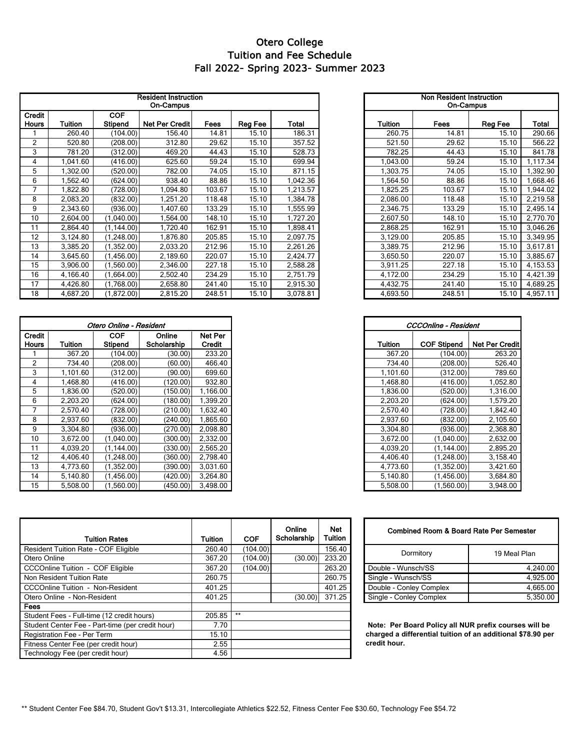## Fall 2022- Spring 2023- Summer 2023 Otero College Tuition and Fee Schedule

| <b>Resident Instruction</b><br><b>On-Campus</b> |          |                              |                       |             |         |          | Non Resident Instruction<br><b>On-Campus</b> |        |         |          |
|-------------------------------------------------|----------|------------------------------|-----------------------|-------------|---------|----------|----------------------------------------------|--------|---------|----------|
| Credit<br><b>Hours</b>                          | Tuition  | <b>COF</b><br><b>Stipend</b> | <b>Net Per Credit</b> | <b>Fees</b> | Reg Fee | Total    | <b>Tuition</b>                               | Fees   | Reg Fee | Total    |
|                                                 | 260.40   | (104.00)                     | 156.40                | 14.81       | 15.10   | 186.31   | 260.75                                       | 14.81  | 15.10   | 290.66   |
| $\overline{2}$                                  | 520.80   | (208.00)                     | 312.80                | 29.62       | 15.10   | 357.52   | 521.50                                       | 29.62  | 15.10   | 566.22   |
| 3                                               | 781.20   | (312.00)                     | 469.20                | 44.43       | 15.10   | 528.73   | 782.25                                       | 44.43  | 15.10   | 841.78   |
| 4                                               | .041.60  | (416.00)                     | 625.60                | 59.24       | 15.10   | 699.94   | .043.00                                      | 59.24  | 15.10   | ,117.34  |
| 5                                               | .302.00  | (520.00)                     | 782.00                | 74.05       | 15.10   | 871.15   | .303.75                                      | 74.05  | 15.10   | .392.90  |
| 6                                               | .562.40  | (624.00)                     | 938.40                | 88.86       | 15.10   | 1,042.36 | .564.50                                      | 88.86  | 15.10   | .668.46  |
| 7                                               | ,822.80  | (728.00)                     | 1.094.80              | 103.67      | 15.10   | 1,213.57 | ,825.25                                      | 103.67 | 15.10   | ,944.02  |
| 8                                               | 2.083.20 | (832.00)                     | 1.251.20              | 118.48      | 15.10   | 1,384.78 | 2.086.00                                     | 118.48 | 15.10   | 2,219.58 |
| 9                                               | 2,343.60 | (936.00)                     | 1.407.60              | 133.29      | 15.10   | 1,555.99 | 2,346.75                                     | 133.29 | 15.10   | 2,495.14 |
| 10                                              | 2.604.00 | (1,040.00)                   | 1.564.00              | 148.10      | 15.10   | 1,727.20 | 2,607.50                                     | 148.10 | 15.10   | 2,770.70 |
| 11                                              | 2.864.40 | (1.144.00)                   | 1.720.40              | 162.91      | 15.10   | 1,898.41 | 2.868.25                                     | 162.91 | 15.10   | 3,046.26 |
| 12                                              | 3.124.80 | (1, 248.00)                  | 1.876.80              | 205.85      | 15.10   | 2,097.75 | 3,129.00                                     | 205.85 | 15.10   | 3,349.95 |
| 13                                              | 3.385.20 | (1,352.00)                   | 2.033.20              | 212.96      | 15.10   | 2,261.26 | 3.389.75                                     | 212.96 | 15.10   | 3,617.81 |
| 14                                              | 3.645.60 | (1,456.00)                   | 2,189.60              | 220.07      | 15.10   | 2,424.77 | 3.650.50                                     | 220.07 | 15.10   | 3,885.67 |
| 15                                              | 3.906.00 | (1,560.00)                   | 2.346.00              | 227.18      | 15.10   | 2,588.28 | 3,911.25                                     | 227.18 | 15.10   | 4,153.53 |
| 16                                              | 4.166.40 | (1,664.00)                   | 2.502.40              | 234.29      | 15.10   | 2,751.79 | 4,172.00                                     | 234.29 | 15.10   | 4,421.39 |
| 17                                              | 4,426.80 | (1,768.00)                   | 2,658.80              | 241.40      | 15.10   | 2,915.30 | 4,432.75                                     | 241.40 | 15.10   | 4,689.25 |
| 18                                              | 4,687.20 | (1,872.00)                   | 2,815.20              | 248.51      | 15.10   | 3,078.81 | 4,693.50                                     | 248.51 | 15.10   | 4,957.11 |

| Otero Online - Resident |          |                       |                       |                   |
|-------------------------|----------|-----------------------|-----------------------|-------------------|
| Credit<br><b>Hours</b>  | Tuition  | <b>COF</b><br>Stipend | Online<br>Scholarship | Net Per<br>Credit |
|                         | 367.20   | (104.00)              | (30.00)               | 233.20            |
| $\overline{2}$          | 734.40   | (208.00)              | (60.00)               | 466.40            |
| 3                       | 1,101.60 | (312.00)              | (90.00)               | 699.60            |
| 4                       | .468.80  | (416.00)              | (120.00)              | 932.80            |
| 5                       | .836.00  | (520.00)              | (150.00)              | 1.166.00          |
| 6                       | 2,203.20 | (624.00)              | (180.00)              | .399.20           |
|                         | 2.570.40 | (728.00)              | (210.00)              | 1,632.40          |
| 8                       | 2,937.60 | (832.00)              | (240.00)              | 865.60            |
| 9                       | 3,304.80 | (936.00)              | (270.00)              | 2,098.80          |
| 10                      | 3.672.00 | (1,040.00)            | (300.00)              | 2,332.00          |
| 11                      | 4.039.20 | (1, 144.00)           | (330.00)              | 2,565.20          |
| 12                      | 4,406.40 | (1,248.00)            | (360.00)              | 2,798.40          |
| 13                      | 4,773.60 | (1,352.00)            | (390.00)              | 3,031.60          |
| 14                      | 5.140.80 | (1,456.00)            | (420.00)              | 3,264.80          |
| 15                      | 5,508.00 | (1,560.00)            | (450.00)              | 3,498.00          |

|          | <b>Non Resident Instruction</b><br>On-Campus |       |          |  |  |  |  |  |
|----------|----------------------------------------------|-------|----------|--|--|--|--|--|
| Tuition  | Fees<br>Reg Fee                              |       |          |  |  |  |  |  |
| 260.75   | 14.81                                        | 15.10 | 290.66   |  |  |  |  |  |
| 521.50   | 29.62                                        | 15.10 | 566.22   |  |  |  |  |  |
| 782.25   | 44.43                                        | 15.10 | 841.78   |  |  |  |  |  |
| 1,043.00 | 59.24                                        | 15.10 | 1,117.34 |  |  |  |  |  |
| 1,303.75 | 74.05                                        | 15.10 | 1,392.90 |  |  |  |  |  |
| 1,564.50 | 88.86                                        | 15.10 | 1,668.46 |  |  |  |  |  |
| 1.825.25 | 103.67                                       | 15.10 | 1,944.02 |  |  |  |  |  |
| 2,086.00 | 118.48                                       | 15.10 | 2,219.58 |  |  |  |  |  |
| 2,346.75 | 133.29                                       | 15.10 | 2,495.14 |  |  |  |  |  |
| 2,607.50 | 148.10                                       | 15.10 | 2,770.70 |  |  |  |  |  |
| 2,868.25 | 162.91                                       | 15.10 | 3,046.26 |  |  |  |  |  |
| 3,129.00 | 205.85                                       | 15.10 | 3,349.95 |  |  |  |  |  |
| 3,389.75 | 212.96                                       | 15.10 | 3,617.81 |  |  |  |  |  |
| 3,650.50 | 220.07                                       | 15.10 | 3,885.67 |  |  |  |  |  |
| 3,911.25 | 227.18                                       | 15.10 | 4,153.53 |  |  |  |  |  |
| 4,172.00 | 234.29                                       | 15.10 | 4,421.39 |  |  |  |  |  |
| 4,432.75 | 241.40                                       | 15.10 | 4,689.25 |  |  |  |  |  |
| 4,693.50 | 248.51                                       | 15.10 | 4,957.11 |  |  |  |  |  |

| Online - Resident     |                       |                   | CCCOnline - Resident |                    |                       |
|-----------------------|-----------------------|-------------------|----------------------|--------------------|-----------------------|
| <b>COF</b><br>Stipend | Online<br>Scholarship | Net Per<br>Credit | <b>Tuition</b>       | <b>COF Stipend</b> | <b>Net Per Credit</b> |
| (104.00)              | (30.00)               | 233.20            | 367.20               | (104.00)           | 263.20                |
| (208.00)              | (60.00)               | 466.40            | 734.40               | (208.00)           | 526.40                |
| (312.00)              | (90.00)               | 699.60            | 1,101.60             | (312.00)           | 789.60                |
| (416.00)              | (120.00)              | 932.80            | 1.468.80             | (416.00)           | 1,052.80              |
| (520.00)              | (150.00)              | 1,166.00          | 1,836.00             | (520.00)           | 1,316.00              |
| (624.00)              | (180.00)              | 1.399.20          | 2,203.20             | (624.00)           | 1,579.20              |
| (728.00)              | (210.00)              | 1,632.40          | 2,570.40             | (728.00)           | 1,842.40              |
| (832.00)              | (240.00)              | 1,865.60          | 2.937.60             | (832.00)           | 2,105.60              |
| (936.00)              | (270.00)              | 2,098.80          | 3,304.80             | (936.00)           | 2,368.80              |
| (1,040.00)            | (300.00)              | 2,332.00          | 3,672.00             | (1.040.00)         | 2,632.00              |
| (1, 144.00)           | (330.00)              | 2,565.20          | 4.039.20             | (1.144.00)         | 2,895.20              |
| (1,248.00)            | (360.00)              | 2,798.40          | 4.406.40             | (1,248.00)         | 3,158.40              |
| (1,352.00)            | (390.00)              | 3,031.60          | 4,773.60             | (1,352.00)         | 3,421.60              |
| (1,456.00)            | (420.00)              | 3,264.80          | 5,140.80             | (1,456.00)         | 3,684.80              |
| (1,560.00)            | (450.00)              | 3,498.00          | 5,508.00             | (1,560.00)         | 3,948.00              |

| Combined Room & Board Rate Per Semester |              |  |  |  |  |
|-----------------------------------------|--------------|--|--|--|--|
| Dormitory                               | 19 Meal Plan |  |  |  |  |
| Double - Wunsch/SS                      | 4.240.00     |  |  |  |  |
| Single - Wunsch/SS                      | 4,925.00     |  |  |  |  |
| Double - Conley Complex                 | 4,665.00     |  |  |  |  |
| Single - Conley Complex                 | 5.350.00     |  |  |  |  |

 **Note: Per Board Policy all NUR prefix courses will be charged a differential tuition of an additional \$78.90 per credit hour.** 

| <b>Tuition Rates</b>                             | <b>Tuition</b> | <b>COF</b> | Online<br>Scholarship | <b>Net</b><br><b>Tuition</b> |
|--------------------------------------------------|----------------|------------|-----------------------|------------------------------|
| <b>Resident Tuition Rate - COF Eligible</b>      | 260.40         | (104.00)   |                       | 156.40                       |
| Otero Online                                     | 367.20         | (104.00)   | (30.00)               | 233.20                       |
| <b>CCCOnline Tuition - COF Eligible</b>          | 367.20         | (104.00)   |                       | 263.20                       |
| Non Resident Tuition Rate                        | 260.75         |            |                       | 260.75                       |
| <b>CCCOnline Tuition - Non-Resident</b>          | 401.25         |            |                       | 401.25                       |
| Otero Online - Non-Resident                      | 401.25         |            | (30.00)               | 371.25                       |
| Fees                                             |                |            |                       |                              |
| Student Fees - Full-time (12 credit hours)       | 205.85         | $**$       |                       |                              |
| Student Center Fee - Part-time (per credit hour) | 7.70           |            |                       |                              |
| Registration Fee - Per Term                      | 15.10          |            |                       |                              |
| Fitness Center Fee (per credit hour)             | 2.55           |            |                       |                              |
| Technology Fee (per credit hour)                 | 4.56           |            |                       |                              |